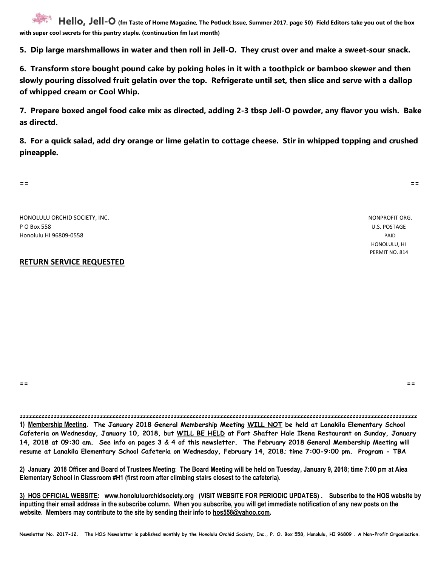**Hello, Jell-O (fm Taste of Home Magazine, The Potluck Issue, Summer 2017, page 50) Field Editors take you out of the box with super cool secrets for this pantry staple. (continuation fm last month)**

**5. Dip large marshmallows in water and then roll in Jell-O. They crust over and make a sweet-sour snack.**

**6. Transform store bought pound cake by poking holes in it with a toothpick or bamboo skewer and then slowly pouring dissolved fruit gelatin over the top. Refrigerate until set, then slice and serve with a dallop of whipped cream or Cool Whip.**

**7. Prepare boxed angel food cake mix as directed, adding 2-3 tbsp Jell-O powder, any flavor you wish. Bake as directd.**

**8. For a quick salad, add dry orange or lime gelatin to cottage cheese. Stir in whipped topping and crushed pineapple.**

**== ==**

HONOLULU ORCHID SOCIETY, INC. NONPROFIT ORG. P O Box 558 U.S. POSTAGE Honolulu HI 96809-0558 PAID

## **RETURN SERVICE REQUESTED**

 HONOLULU, HI PERMIT NO. 814

**== ==**

zzzzzzzzzzzzzzzzzzzzzzzzzzzzzzzzzzzzzzzzzzzzzzzzzzzzzzzzzzzzzzzzzzzzzzzzzzzzzzzzzzzzzzzzzzzzzzzzzzzzzzzzzzzzzzzzzzzzzzzzzzzzzzzzz **1) Membership Meeting. The January 2018 General Membership Meeting WILL NOT be held at Lanakila Elementary School Cafeteria on Wednesday, January 10, 2018, but WILL BE HELD at Fort Shafter Hale Ikena Restaurant on Sunday, January 14, 2018 at 09:30 am. See info on pages 3 & 4 of this newsletter. The February 2018 General Membership Meeting will resume at Lanakila Elementary School Cafeteria on Wednesday, February 14, 2018; time 7:00-9:00 pm. Program - TBA**

**2) January 2018 Officer and Board of Trustees Meeting**: **The Board Meeting will be held on Tuesday, January 9, 2018; time 7:00 pm at Aiea Elementary School in Classroom #H1 (first room after climbing stairs closest to the cafeteria).** 

**3) HOS OFFICIAL WEBSITE: www.honoluluorchidsociety.org (VISIT WEBSITE FOR PERIODIC UPDATES) . Subscribe to the HOS website by inputting their email address in the subscribe column. When you subscribe, you will get immediate notification of any new posts on the website. Members may contribute to the site by sending their info to hos558@yahoo.com.**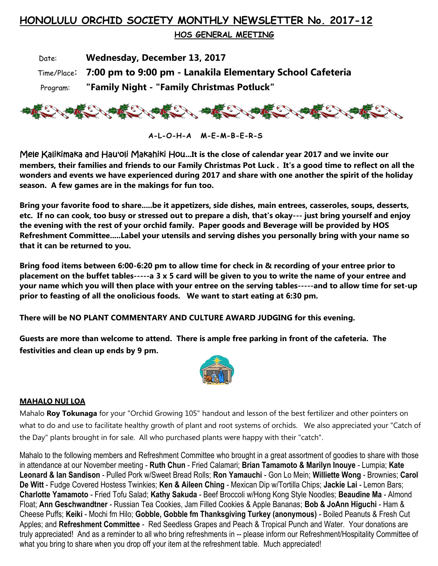## **HONOLULU ORCHID SOCIETY MONTHLY NEWSLETTER No. 2017-12**

 **HOS GENERAL MEETING** 

 Date: **Wednesday, December 13, 2017** Time/Place: **7:00 pm to 9:00 pm - Lanakila Elementary School Cafeteria** Program: **"Family Night - "Family Christmas Potluck"**



**A-L-O-H-A M-E-M-B-E-R-S**

Mele Kalikimaka and Hau'oli Makahiki Hou**...It is the close of calendar year 2017 and we invite our members, their families and friends to our Family Christmas Pot Luck . It's a good time to reflect on all the wonders and events we have experienced during 2017 and share with one another the spirit of the holiday season. A few games are in the makings for fun too.** 

**Bring your favorite food to share.....be it appetizers, side dishes, main entrees, casseroles, soups, desserts, etc. If no can cook, too busy or stressed out to prepare a dish, that's okay--- just bring yourself and enjoy the evening with the rest of your orchid family. Paper goods and Beverage will be provided by HOS Refreshment Committee.....Label your utensils and serving dishes you personally bring with your name so that it can be returned to you.**

**Bring food items between 6:00-6:20 pm to allow time for check in & recording of your entree prior to placement on the buffet tables-----a 3 x 5 card will be given to you to write the name of your entree and your name which you will then place with your entree on the serving tables-----and to allow time for set-up prior to feasting of all the onolicious foods. We want to start eating at 6:30 pm.**

**There will be NO PLANT COMMENTARY AND CULTURE AWARD JUDGING for this evening.**

**Guests are more than welcome to attend. There is ample free parking in front of the cafeteria. The festivities and clean up ends by 9 pm.** 



## **MAHALO NUI LOA**

Mahalo **Roy Tokunaga** for your "Orchid Growing 105" handout and lesson of the best fertilizer and other pointers on what to do and use to facilitate healthy growth of plant and root systems of orchids. We also appreciated your "Catch of the Day" plants brought in for sale. All who purchased plants were happy with their "catch".

Mahalo to the following members and Refreshment Committee who brought in a great assortment of goodies to share with those in attendance at our November meeting - **Ruth Chun** - Fried Calamari; **Brian Tamamoto & Marilyn Inouye** - Lumpia; **Kate Leonard & Ian Sandison** - Pulled Pork w/Sweet Bread Rolls; **Ron Yamauchi** - Gon Lo Mein; **Williette Wong** - Brownies; **Carol De Witt** - Fudge Covered Hostess Twinkies; **Ken & Aileen Ching** - Mexican Dip w/Tortilla Chips; **Jackie Lai** - Lemon Bars; **Charlotte Yamamoto** - Fried Tofu Salad; **Kathy Sakuda** - Beef Broccoli w/Hong Kong Style Noodles; **Beaudine Ma** - Almond Float; **Ann Geschwandtner** - Russian Tea Cookies, Jam Filled Cookies & Apple Bananas; **Bob & JoAnn Higuchi** - Ham & Cheese Puffs; **Keiki** - Mochi fm Hilo; **Gobble, Gobble fm Thanksgiving Turkey (anonymous)** - Boiled Peanuts & Fresh Cut Apples; and **Refreshment Committee** - Red Seedless Grapes and Peach & Tropical Punch and Water. Your donations are truly appreciated! And as a reminder to all who bring refreshments in -- please inform our Refreshment/Hospitality Committee of what you bring to share when you drop off your item at the refreshment table. Much appreciated!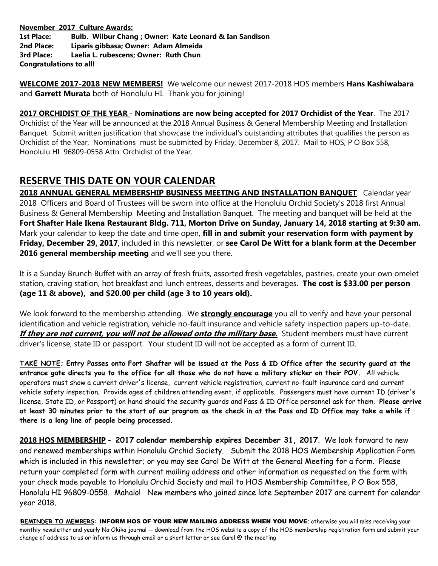**November 2017 Culture Awards: 1st Place: Bulb. Wilbur Chang ; Owner: Kate Leonard & Ian Sandison 2nd Place: Liparis gibbasa; Owner: Adam Almeida 3rd Place: Laelia L. rubescens; Owner: Ruth Chun Congratulations to all!** 

**WELCOME 2017-2018 NEW MEMBERS!** We welcome our newest 2017-2018 HOS members **Hans Kashiwabara** and **Garrett Murata** both of Honolulu HI. Thank you for joining!

**2017 ORCHIDIST OF THE YEAR** - **Nominations are now being accepted for 2017 Orchidist of the Year**. The 2017 Orchidist of the Year will be announced at the 2018 Annual Business & General Membership Meeting and Installation Banquet. Submit written justification that showcase the individual's outstanding attributes that qualifies the person as Orchidist of the Year, Nominations must be submitted by Friday, December 8, 2017. Mail to HOS, P O Box 558, Honolulu HI 96809-0558 Attn: Orchidist of the Year.

## **RESERVE THIS DATE ON YOUR CALENDAR**

**2018 ANNUAL GENERAL MEMBERSHIP BUSINESS MEETING AND INSTALLATION BANQUET**. Calendar year 2018 Officers and Board of Trustees will be sworn into office at the Honolulu Orchid Society's 2018 first Annual Business & General Membership Meeting and Installation Banquet. The meeting and banquet will be held at the **Fort Shafter Hale Ikena Restaurant Bldg. 711, Morton Drive on Sunday, January 14, 2018 starting at 9:30 am.** Mark your calendar to keep the date and time open, **fill in and submit your reservation form with payment by Friday, December 29, 2017**, included in this newsletter, or **see Carol De Witt for a blank form at the December 2016 general membership meeting** and we'll see you there.

It is a Sunday Brunch Buffet with an array of fresh fruits, assorted fresh vegetables, pastries, create your own omelet station, craving station, hot breakfast and lunch entrees, desserts and beverages. **The cost is \$33.00 per person (age 11 & above), and \$20.00 per child (age 3 to 10 years old).**

We look forward to the membership attending. We **strongly encourage** you all to verify and have your personal identification and vehicle registration, vehicle no-fault insurance and vehicle safety inspection papers up-to-date. **If they are not current, you will not be allowed onto the military base.** Student members must have current driver's license, state ID or passport. Your student ID will not be accepted as a form of current ID.

**TAKE NOTE; Entry Passes onto Fort Shafter will be issued at the Pass & ID Office after the security guard at the entrance gate directs you to the office for all those who do not have a military sticker on their POV.** All vehicle operators must show a current driver's license, current vehicle registration, current no-fault insurance card and current vehicle safety inspection. Provide ages of children attending event, if applicable. Passengers must have current ID (driver's license, State ID, or Passport) on hand should the security guards and Pass & ID Office personnel ask for them. **Please arrive at least 30 minutes prior to the start of our program as the check in at the Pass and ID Office may take a while if there is a long line of people being processed.**

**2018 HOS MEMBERSHIP** - **2017 calendar membership expires December 31, 2017**. We look forward to new and renewed memberships within Honolulu Orchid Society. Submit the 2018 HOS Membership Application Form which is included in this newsletter; or you may see Carol De Witt at the General Meeting for a form. Please return your completed form with current mailing address and other information as requested on the form with your check made payable to Honolulu Orchid Society and mail to HOS Membership Committee, P O Box 558, Honolulu HI 96809-0558. Mahalo! New members who joined since late September 2017 are current for calendar year 2018.

!**REMINDER TO MEMBERS**: INFORM HOS OF YOUR NEW MAILING ADDRESS WHEN YOU MOVE; otherwise you will miss receiving your monthly newsletter and yearly Na Okika journal -- download from the HOS website a copy of the HOS membership registration form and submit your change of address to us or inform us through email or a short letter or see Carol @ the meeting